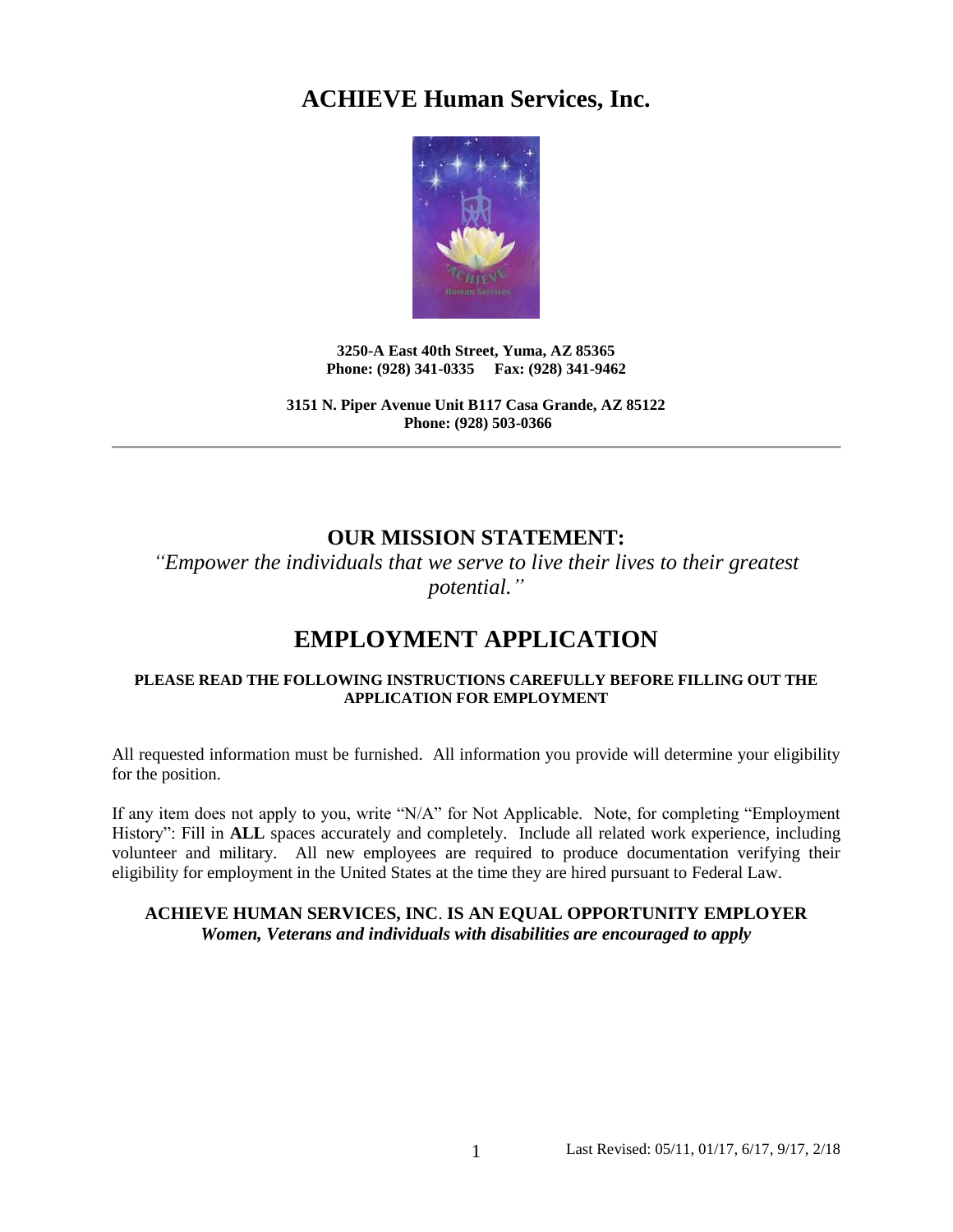# **ACHIEVE Human Services, Inc.**



**3250-A East 40th Street, Yuma, AZ 85365 Phone: (928) 341-0335 Fax: (928) 341-9462**

**3151 N. Piper Avenue Unit B117 Casa Grande, AZ 85122 Phone: (928) 503-0366** 

## **OUR MISSION STATEMENT:**

*"Empower the individuals that we serve to live their lives to their greatest potential."*

# **EMPLOYMENT APPLICATION**

#### **PLEASE READ THE FOLLOWING INSTRUCTIONS CAREFULLY BEFORE FILLING OUT THE APPLICATION FOR EMPLOYMENT**

All requested information must be furnished. All information you provide will determine your eligibility for the position.

If any item does not apply to you, write "N/A" for Not Applicable. Note, for completing "Employment History": Fill in **ALL** spaces accurately and completely. Include all related work experience, including volunteer and military. All new employees are required to produce documentation verifying their eligibility for employment in the United States at the time they are hired pursuant to Federal Law.

### **ACHIEVE HUMAN SERVICES, INC**. **IS AN EQUAL OPPORTUNITY EMPLOYER** *Women, Veterans and individuals with disabilities are encouraged to apply*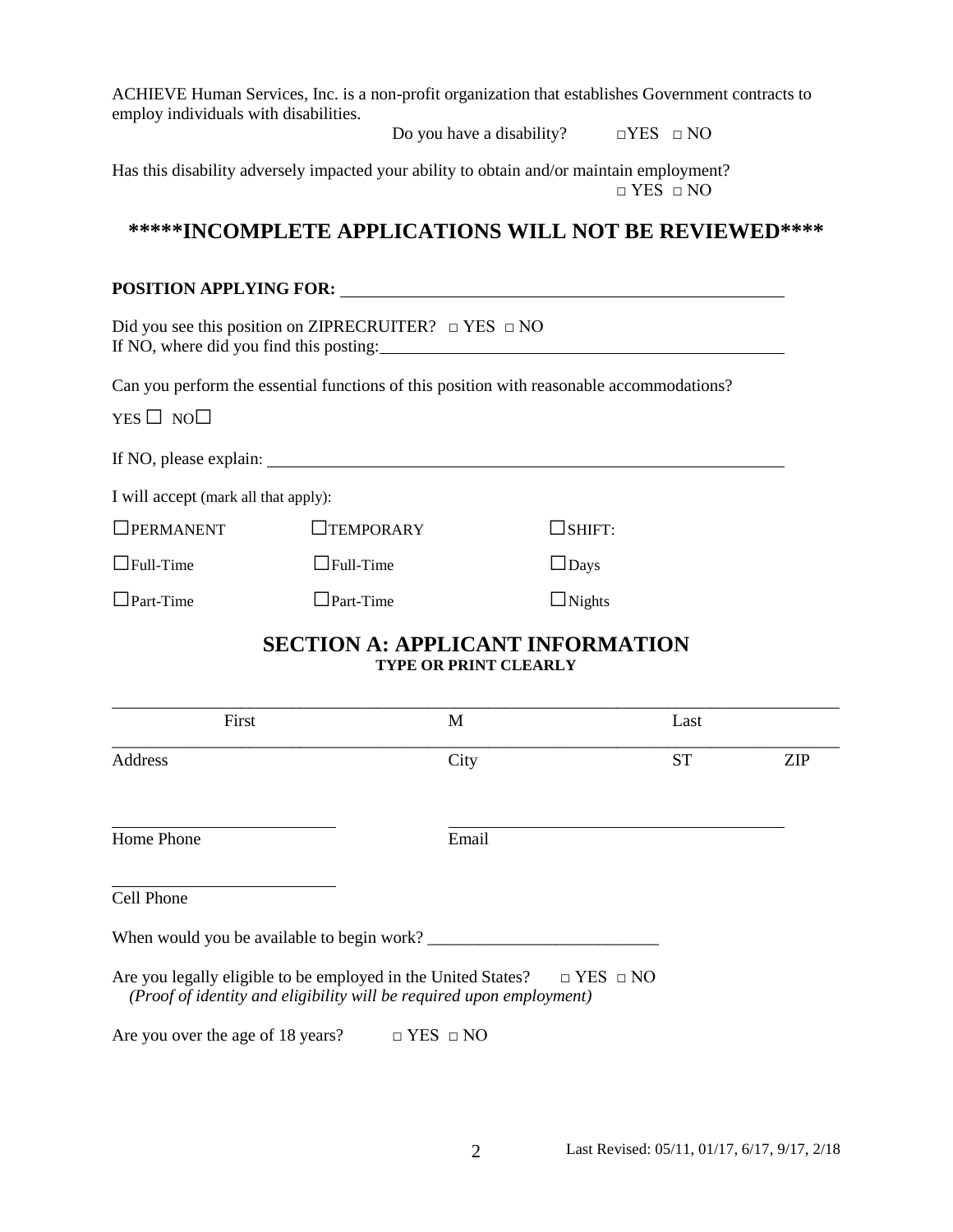| ACHIEVE Human Services, Inc. is a non-profit organization that establishes Government contracts to |
|----------------------------------------------------------------------------------------------------|
| employ individuals with disabilities.                                                              |

Do you have a disability?  $\Box$  YES  $\Box$  NO

Has this disability adversely impacted your ability to obtain and/or maintain employment? □ YES □ NO

## **\*\*\*\*\*INCOMPLETE APPLICATIONS WILL NOT BE REVIEWED\*\*\*\***

#### **POSITION APPLYING FOR:**

Did you see this position on ZIPRECRUITER?  $\Box$  YES  $\Box$  NO If NO, where did you find this posting:

Can you perform the essential functions of this position with reasonable accommodations?

YES  $\square$  NO $\square$ 

If NO, please explain:

I will accept (mark all that apply):

| <b>FERMANENT</b> | $\Box$ TEMPORARY | $\Box$ SHIFT: |
|------------------|------------------|---------------|
| $\Box$ Full-Time | $\mid$ Full-Time | $\Box$ Days   |
| $\Box$ Part-Time | $\Box$ Part-Time | $\Box$ Nights |

## **SECTION A: APPLICANT INFORMATION TYPE OR PRINT CLEARLY**

| First                                                                              | М                                                                    | Last      |            |
|------------------------------------------------------------------------------------|----------------------------------------------------------------------|-----------|------------|
| Address                                                                            | City                                                                 | <b>ST</b> | <b>ZIP</b> |
| Home Phone                                                                         | Email                                                                |           |            |
| Cell Phone                                                                         |                                                                      |           |            |
| When would you be available to begin work?                                         |                                                                      |           |            |
| Are you legally eligible to be employed in the United States? $\Box$ YES $\Box$ NO | (Proof of identity and eligibility will be required upon employment) |           |            |
| Are you over the age of 18 years?                                                  | $\Box$ YES $\Box$ NO                                                 |           |            |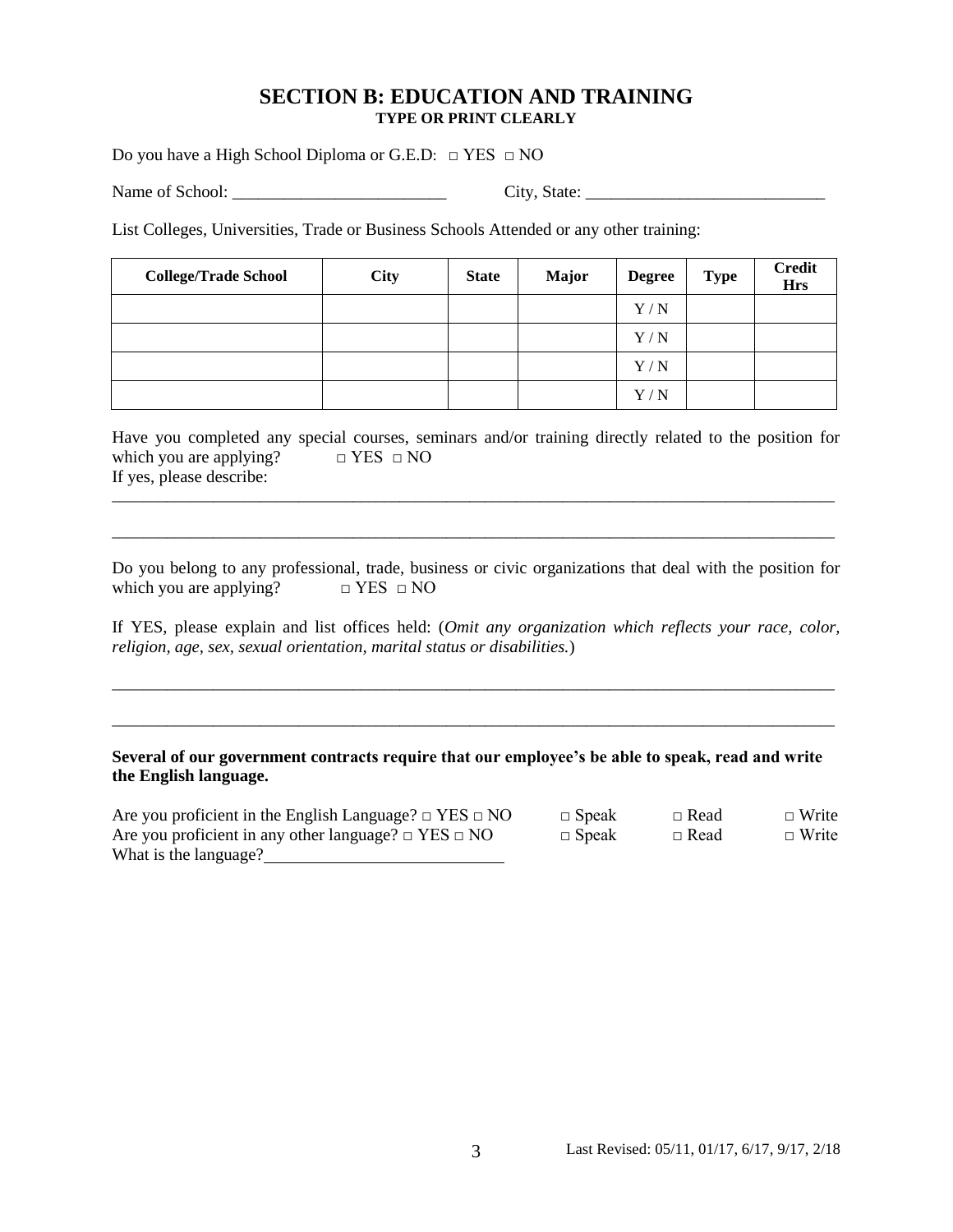## **SECTION B: EDUCATION AND TRAINING TYPE OR PRINT CLEARLY**

Do you have a High School Diploma or G.E.D: □ YES □ NO

Name of School: \_\_\_\_\_\_\_\_\_\_\_\_\_\_\_\_\_\_\_\_\_\_\_\_\_ City, State: \_\_\_\_\_\_\_\_\_\_\_\_\_\_\_\_\_\_\_\_\_\_\_\_\_\_\_\_

List Colleges, Universities, Trade or Business Schools Attended or any other training:

| <b>College/Trade School</b> | <b>City</b> | <b>State</b> | <b>Major</b> | <b>Degree</b> | <b>Type</b> | <b>Credit</b><br><b>Hrs</b> |
|-----------------------------|-------------|--------------|--------------|---------------|-------------|-----------------------------|
|                             |             |              |              | Y/N           |             |                             |
|                             |             |              |              | Y/N           |             |                             |
|                             |             |              |              | Y/N           |             |                             |
|                             |             |              |              | Y/N           |             |                             |

Have you completed any special courses, seminars and/or training directly related to the position for which you are applying?  $□$  YES  $□$  NO If yes, please describe:

Do you belong to any professional, trade, business or civic organizations that deal with the position for which you are applying?  $\Box$  YES  $\Box$  NO

 $\_$  ,  $\_$  ,  $\_$  ,  $\_$  ,  $\_$  ,  $\_$  ,  $\_$  ,  $\_$  ,  $\_$  ,  $\_$  ,  $\_$  ,  $\_$  ,  $\_$  ,  $\_$  ,  $\_$  ,  $\_$  ,  $\_$  ,  $\_$  ,  $\_$  ,  $\_$  ,  $\_$  ,  $\_$  ,  $\_$  ,  $\_$  ,  $\_$  ,  $\_$  ,  $\_$  ,  $\_$  ,  $\_$  ,  $\_$  ,  $\_$  ,  $\_$  ,  $\_$  ,  $\_$  ,  $\_$  ,  $\_$  ,  $\_$  ,

If YES, please explain and list offices held: (*Omit any organization which reflects your race, color, religion, age, sex, sexual orientation, marital status or disabilities.*)

\_\_\_\_\_\_\_\_\_\_\_\_\_\_\_\_\_\_\_\_\_\_\_\_\_\_\_\_\_\_\_\_\_\_\_\_\_\_\_\_\_\_\_\_\_\_\_\_\_\_\_\_\_\_\_\_\_\_\_\_\_\_\_\_\_\_\_\_\_\_\_\_\_\_\_\_\_\_\_\_\_\_\_\_\_\_\_\_\_\_\_\_\_

 $\_$  ,  $\_$  ,  $\_$  ,  $\_$  ,  $\_$  ,  $\_$  ,  $\_$  ,  $\_$  ,  $\_$  ,  $\_$  ,  $\_$  ,  $\_$  ,  $\_$  ,  $\_$  ,  $\_$  ,  $\_$  ,  $\_$  ,  $\_$  ,  $\_$  ,  $\_$  ,  $\_$  ,  $\_$  ,  $\_$  ,  $\_$  ,  $\_$  ,  $\_$  ,  $\_$  ,  $\_$  ,  $\_$  ,  $\_$  ,  $\_$  ,  $\_$  ,  $\_$  ,  $\_$  ,  $\_$  ,  $\_$  ,  $\_$  ,

#### **Several of our government contracts require that our employee's be able to speak, read and write the English language.**

Are you proficient in the English Language?  $\Box$  YES  $\Box$  NO  $\Box$  Speak  $\Box$  Read  $\Box$  Write Are you proficient in any other language?  $\Box$  YES  $\Box$  NO  $\Box$  Speak  $\Box$  Read  $\Box$  Write Are you proficient in any other language?  $\Box$  YES  $\Box$  NO  $\Box$  Speak  $\Box$  Read  $\Box$  Write What is the language?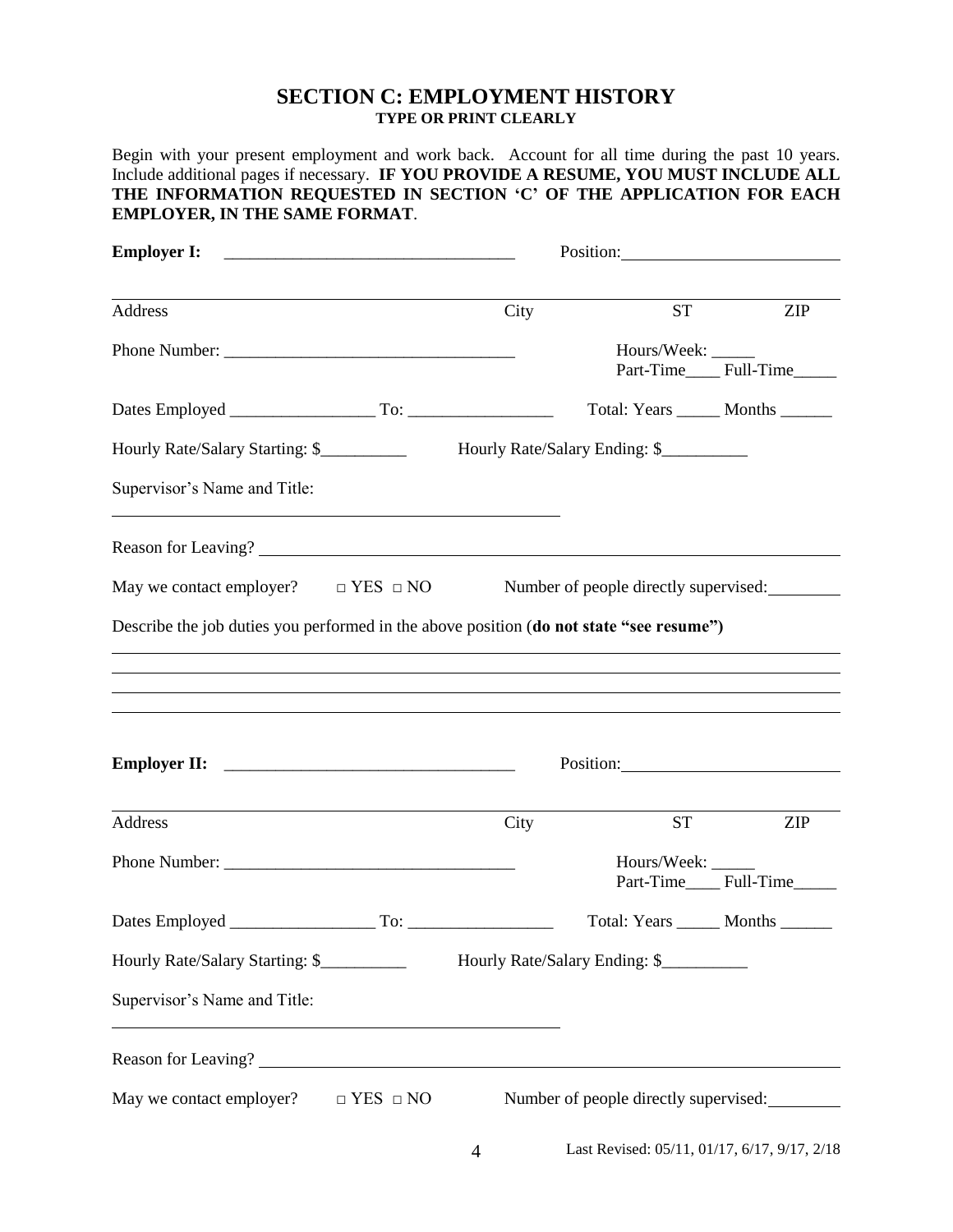## **SECTION C: EMPLOYMENT HISTORY TYPE OR PRINT CLEARLY**

Begin with your present employment and work back. Account for all time during the past 10 years. Include additional pages if necessary. **IF YOU PROVIDE A RESUME, YOU MUST INCLUDE ALL THE INFORMATION REQUESTED IN SECTION 'C' OF THE APPLICATION FOR EACH EMPLOYER, IN THE SAME FORMAT**.

| <b>Employer I:</b>                                                                      |      |                                       |                                    |
|-----------------------------------------------------------------------------------------|------|---------------------------------------|------------------------------------|
| Address                                                                                 | City | <b>ST</b>                             | <b>ZIP</b>                         |
|                                                                                         |      | Hours/Week: _____                     | Part-Time________ Full-Time_______ |
|                                                                                         |      |                                       | Total: Years ______ Months ______  |
|                                                                                         |      |                                       |                                    |
| Supervisor's Name and Title:                                                            |      |                                       |                                    |
| Reason for Leaving?                                                                     |      |                                       |                                    |
| May we contact employer? $\Box$ YES $\Box$ NO                                           |      | Number of people directly supervised: |                                    |
| Describe the job duties you performed in the above position (do not state "see resume") |      |                                       |                                    |
| ,我们也不会有什么。""我们的人,我们也不会有什么?""我们的人,我们也不会有什么?""我们的人,我们也不会有什么?""我们的人,我们也不会有什么?""我们的人        |      |                                       |                                    |
| ,我们也不会有什么?""我们的人,我们也不会有什么?""我们的人,我们也不会有什么?""我们的人,我们也不会有什么?""我们的人,我们也不会有什么?""我们的人        |      |                                       |                                    |
|                                                                                         |      | Position:                             |                                    |
|                                                                                         |      |                                       |                                    |
| Address                                                                                 | City | <b>ST</b>                             | <b>ZIP</b>                         |
|                                                                                         |      | Hours/Week: _____                     | Part-Time_______ Full-Time______   |
|                                                                                         |      | Total: Years ______ Months ______     |                                    |
| Hourly Rate/Salary Starting: \$                                                         |      | Hourly Rate/Salary Ending: \$         |                                    |
| Supervisor's Name and Title:                                                            |      |                                       |                                    |
|                                                                                         |      |                                       |                                    |
| May we contact employer? $\Box$ YES $\Box$ NO                                           |      | Number of people directly supervised: |                                    |

4 Last Revised: 05/11, 01/17, 6/17, 9/17, 2/18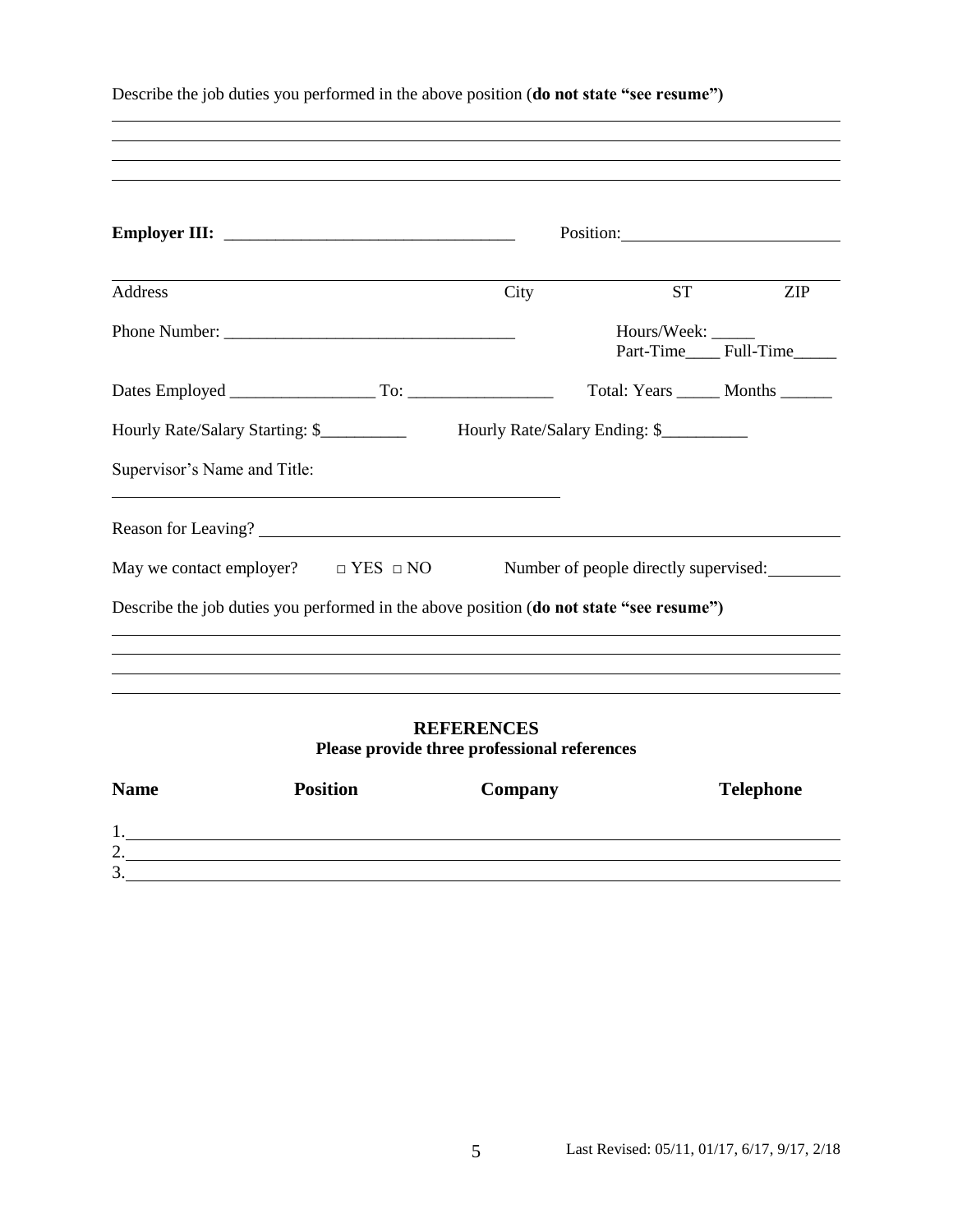|                              |                                                                                         |                                                                   | Position: Position:                   |                                   |
|------------------------------|-----------------------------------------------------------------------------------------|-------------------------------------------------------------------|---------------------------------------|-----------------------------------|
| Address                      |                                                                                         | City                                                              | <b>ST</b>                             | ${\sf ZIP}$                       |
|                              |                                                                                         |                                                                   | Hours/Week: _____                     | Part-Time_______Full-Time________ |
|                              |                                                                                         |                                                                   |                                       |                                   |
|                              | Hourly Rate/Salary Starting: \$_____________ Hourly Rate/Salary Ending: \$_________     |                                                                   |                                       |                                   |
| Supervisor's Name and Title: |                                                                                         |                                                                   |                                       |                                   |
|                              | Reason for Leaving?                                                                     |                                                                   |                                       |                                   |
|                              | May we contact employer? $\Box$ YES $\Box$ NO                                           |                                                                   | Number of people directly supervised: |                                   |
|                              | Describe the job duties you performed in the above position (do not state "see resume") |                                                                   |                                       |                                   |
|                              |                                                                                         |                                                                   |                                       |                                   |
|                              |                                                                                         |                                                                   |                                       |                                   |
|                              |                                                                                         | <b>REFERENCES</b><br>Please provide three professional references |                                       |                                   |
| <b>Name</b>                  | <b>Position</b>                                                                         | <b>Company</b>                                                    |                                       | <b>Telephone</b>                  |
| 1.                           |                                                                                         |                                                                   |                                       |                                   |
| 2.                           |                                                                                         |                                                                   |                                       |                                   |

Describe the job duties you performed in the above position (**do not state "see resume")**

5 Last Revised: 05/11, 01/17, 6/17, 9/17, 2/18

3.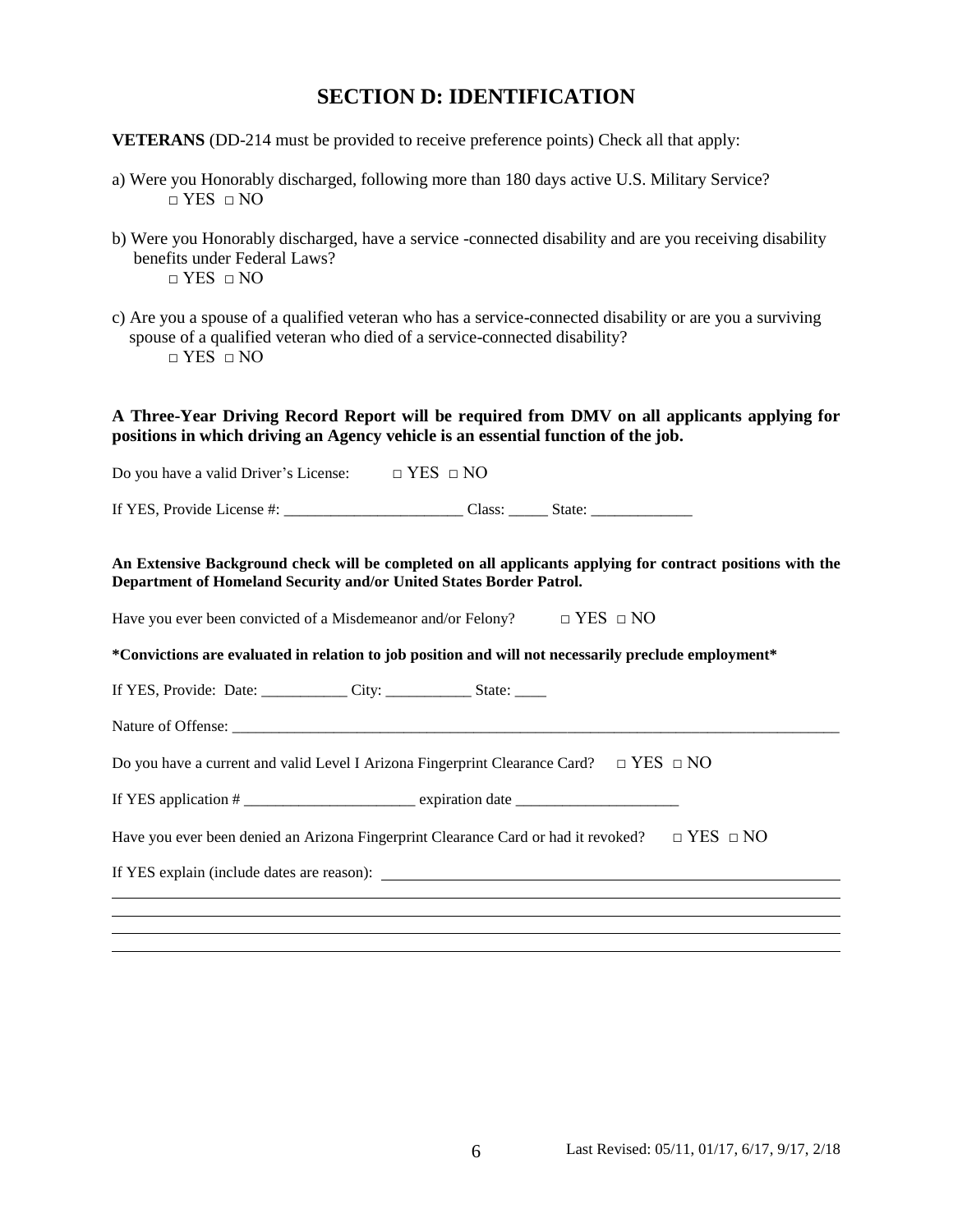## **SECTION D: IDENTIFICATION**

**VETERANS** (DD-214 must be provided to receive preference points) Check all that apply:

- a) Were you Honorably discharged, following more than 180 days active U.S. Military Service? □ YES □ NO
- b) Were you Honorably discharged, have a service -connected disability and are you receiving disability benefits under Federal Laws? □ YES □ NO
- c) Are you a spouse of a qualified veteran who has a service-connected disability or are you a surviving spouse of a qualified veteran who died of a service-connected disability? □ YES □ NO

#### **A Three-Year Driving Record Report will be required from DMV on all applicants applying for positions in which driving an Agency vehicle is an essential function of the job.**

| Do you have a valid Driver's License: $\square$ YES $\square$ NO                                                                                                                  |
|-----------------------------------------------------------------------------------------------------------------------------------------------------------------------------------|
|                                                                                                                                                                                   |
| An Extensive Background check will be completed on all applicants applying for contract positions with the<br>Department of Homeland Security and/or United States Border Patrol. |
| Have you ever been convicted of a Misdemeanor and/or Felony? $\Box$ YES $\Box$ NO                                                                                                 |
| *Convictions are evaluated in relation to job position and will not necessarily preclude employment*                                                                              |
| If YES, Provide: Date: ____________City: _________________State: _______________                                                                                                  |
|                                                                                                                                                                                   |
| Do you have a current and valid Level I Arizona Fingerprint Clearance Card? $\Box$ YES $\Box$ NO                                                                                  |
|                                                                                                                                                                                   |
| Have you ever been denied an Arizona Fingerprint Clearance Card or had it revoked? $\Box$ YES $\Box$ NO                                                                           |
|                                                                                                                                                                                   |
|                                                                                                                                                                                   |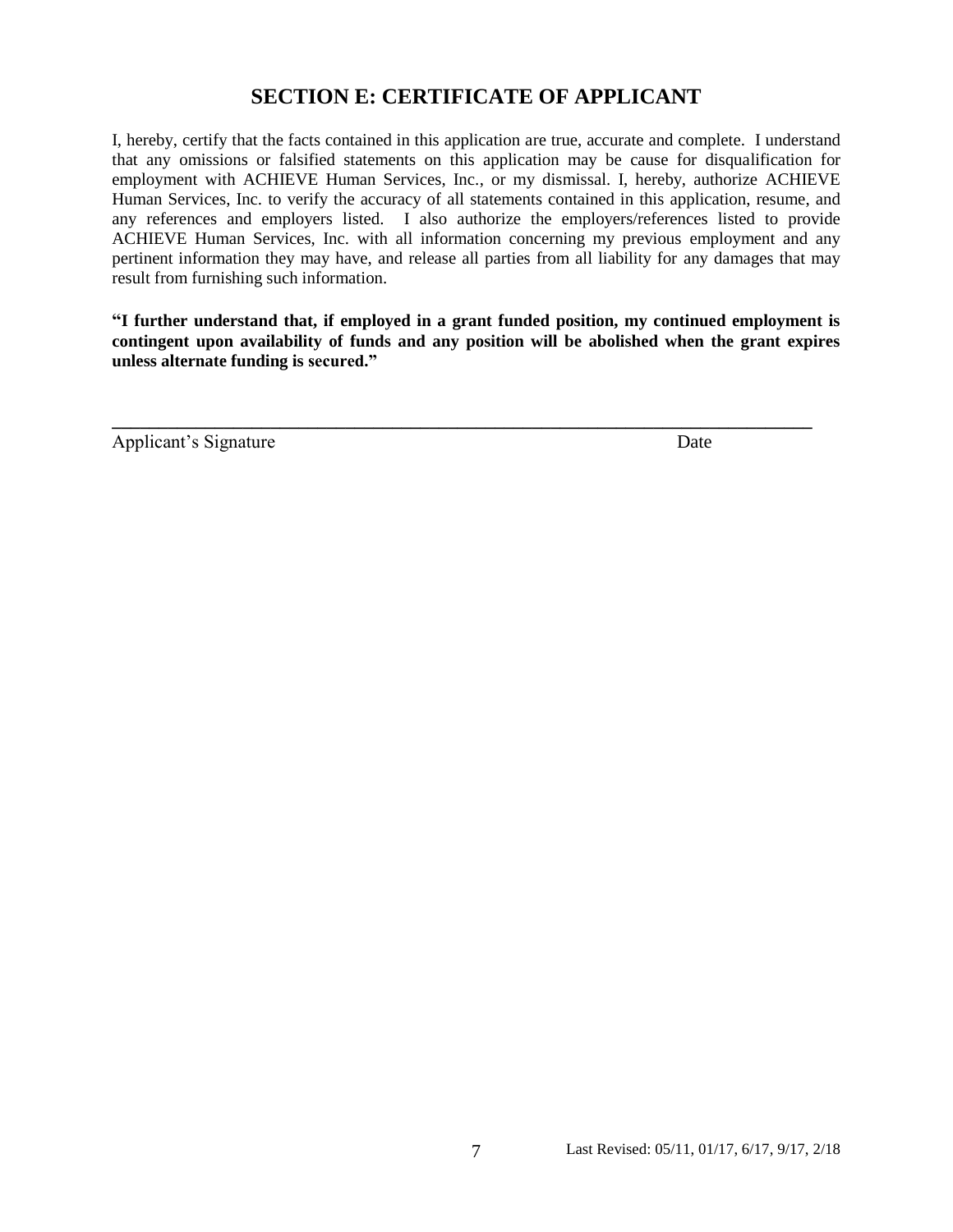## **SECTION E: CERTIFICATE OF APPLICANT**

I, hereby, certify that the facts contained in this application are true, accurate and complete. I understand that any omissions or falsified statements on this application may be cause for disqualification for employment with ACHIEVE Human Services, Inc., or my dismissal. I, hereby, authorize ACHIEVE Human Services, Inc. to verify the accuracy of all statements contained in this application, resume, and any references and employers listed. I also authorize the employers/references listed to provide ACHIEVE Human Services, Inc. with all information concerning my previous employment and any pertinent information they may have, and release all parties from all liability for any damages that may result from furnishing such information.

**"I further understand that, if employed in a grant funded position, my continued employment is contingent upon availability of funds and any position will be abolished when the grant expires unless alternate funding is secured."**

**\_\_\_\_\_\_\_\_\_\_\_\_\_\_\_\_\_\_\_\_\_\_\_\_\_\_\_\_\_\_\_\_\_\_\_\_\_\_\_\_\_\_\_\_\_\_\_\_\_\_\_\_\_\_\_\_\_\_\_\_\_\_\_\_\_\_\_\_\_\_\_\_\_\_\_**

Applicant's Signature Date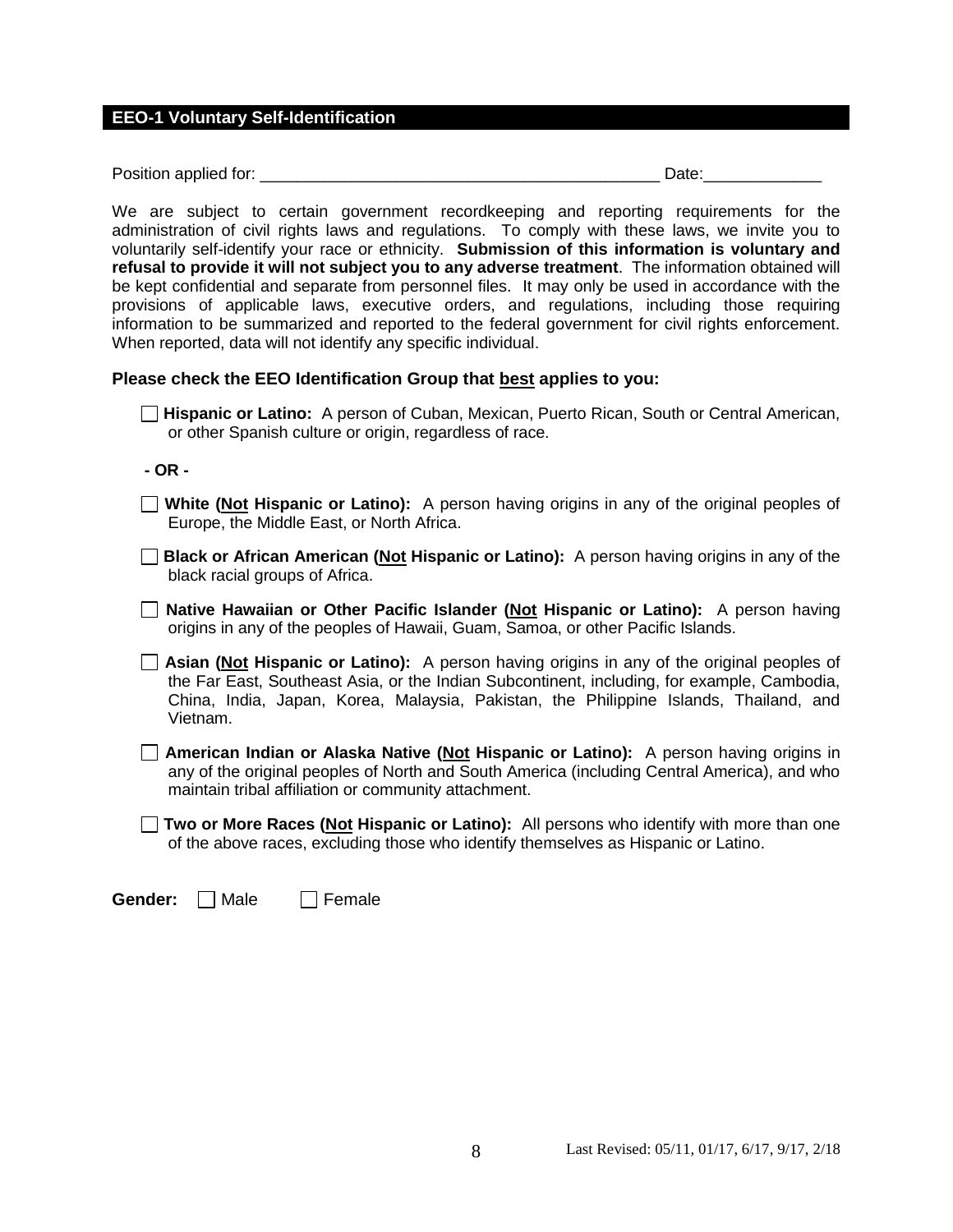#### **EEO-1 Voluntary Self-Identification**

Position applied for: \_\_\_\_\_\_\_\_\_\_\_\_\_\_\_\_\_\_\_\_\_\_\_\_\_\_\_\_\_\_\_\_\_\_\_\_\_\_\_\_\_\_\_\_ Date:\_\_\_\_\_\_\_\_\_\_\_\_\_

We are subject to certain government recordkeeping and reporting requirements for the administration of civil rights laws and regulations. To comply with these laws, we invite you to voluntarily self-identify your race or ethnicity. **Submission of this information is voluntary and refusal to provide it will not subject you to any adverse treatment**. The information obtained will be kept confidential and separate from personnel files. It may only be used in accordance with the provisions of applicable laws, executive orders, and regulations, including those requiring information to be summarized and reported to the federal government for civil rights enforcement. When reported, data will not identify any specific individual.

#### **Please check the EEO Identification Group that best applies to you:**

**Hispanic or Latino:** A person of Cuban, Mexican, Puerto Rican, South or Central American, or other Spanish culture or origin, regardless of race.

**- OR -**

**White (Not Hispanic or Latino):** A person having origins in any of the original peoples of Europe, the Middle East, or North Africa.

**Black or African American (Not Hispanic or Latino):** A person having origins in any of the black racial groups of Africa.

**Native Hawaiian or Other Pacific Islander (Not Hispanic or Latino):** A person having origins in any of the peoples of Hawaii, Guam, Samoa, or other Pacific Islands.

**Asian (Not Hispanic or Latino):** A person having origins in any of the original peoples of the Far East, Southeast Asia, or the Indian Subcontinent, including, for example, Cambodia, China, India, Japan, Korea, Malaysia, Pakistan, the Philippine Islands, Thailand, and Vietnam.

**American Indian or Alaska Native (Not Hispanic or Latino):** A person having origins in any of the original peoples of North and South America (including Central America), and who maintain tribal affiliation or community attachment.

**Two or More Races (Not Hispanic or Latino):** All persons who identify with more than one of the above races, excluding those who identify themselves as Hispanic or Latino.

Gender: **□ Male** □ Female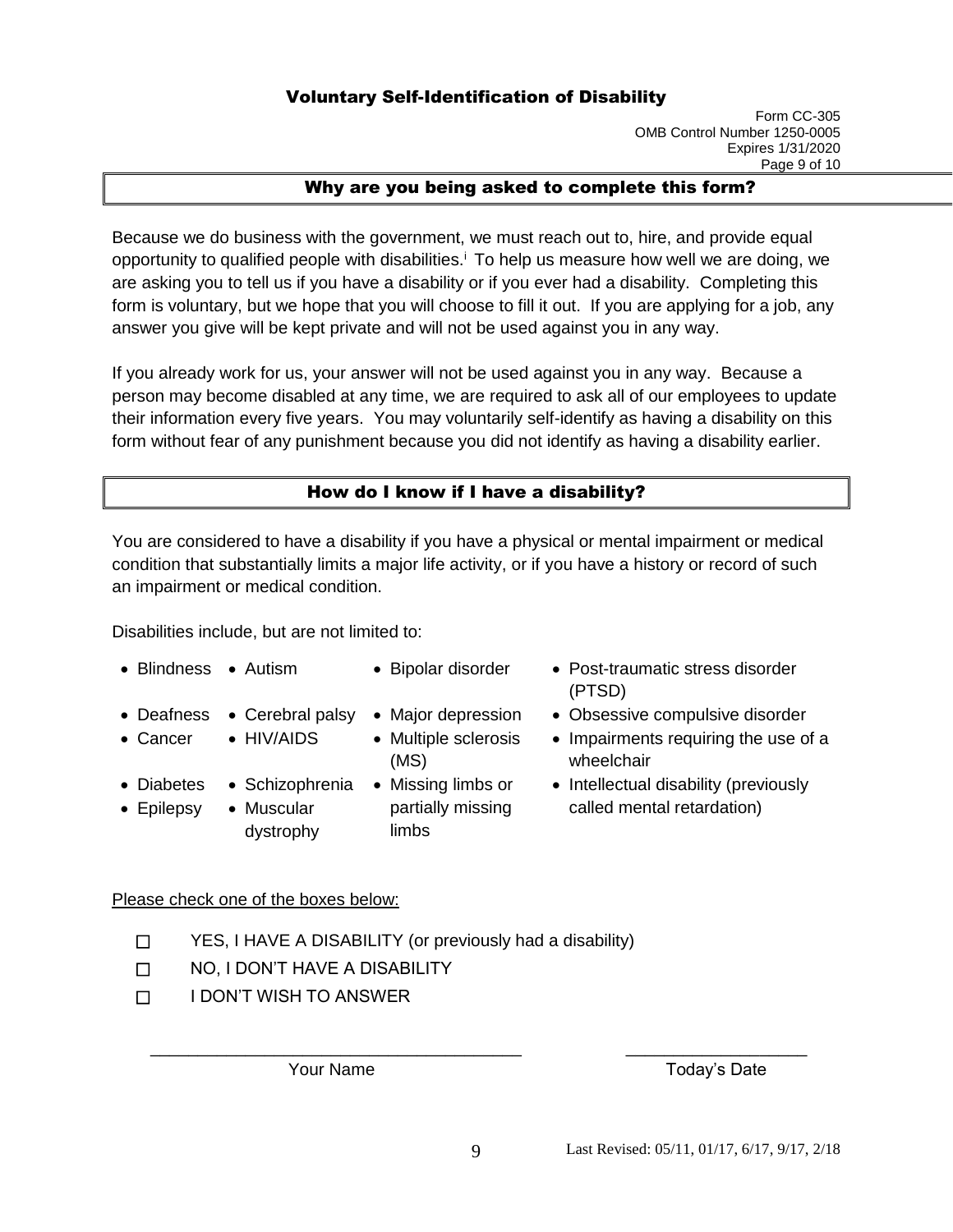## Voluntary Self-Identification of Disability

### Why are you being asked to complete this form?

Because we do business with the government, we must reach out to, hire, and provide equal opportunity to qualified people with disabilities.<sup> $\dagger$ </sup> To help us measure how well we are doing, we are asking you to tell us if you have a disability or if you ever had a disability. Completing this form is voluntary, but we hope that you will choose to fill it out. If you are applying for a job, any answer you give will be kept private and will not be used against you in any way.

If you already work for us, your answer will not be used against you in any way. Because a person may become disabled at any time, we are required to ask all of our employees to update their information every five years. You may voluntarily self-identify as having a disability on this form without fear of any punishment because you did not identify as having a disability earlier.

## How do I know if I have a disability?

You are considered to have a disability if you have a physical or mental impairment or medical condition that substantially limits a major life activity, or if you have a history or record of such an impairment or medical condition.

Disabilities include, but are not limited to:

- Blindness Autism Bipolar disorder Post-traumatic stress disorder
- 
- 
- Cancer HIV/AIDS Multiple sclerosis
- 

(MS)

- 
- Diabetes • Schizophrenia
	- Muscular
- limbs
- (PTSD)
- Deafness Cerebral palsy Major depression Obsessive compulsive disorder
	- Impairments requiring the use of a wheelchair
	- Intellectual disability (previously called mental retardation)
- Epilepsy
	- dystrophy
- Missing limbs or partially missing

## Please check one of the boxes below:

- ☐ YES, I HAVE A DISABILITY (or previously had a disability)
- ☐ NO, I DON'T HAVE A DISABILITY
- ☐ I DON'T WISH TO ANSWER

Your Name Today's Date

 $\overline{\phantom{a}}$  ,  $\overline{\phantom{a}}$  ,  $\overline{\phantom{a}}$  ,  $\overline{\phantom{a}}$  ,  $\overline{\phantom{a}}$  ,  $\overline{\phantom{a}}$  ,  $\overline{\phantom{a}}$  ,  $\overline{\phantom{a}}$  ,  $\overline{\phantom{a}}$  ,  $\overline{\phantom{a}}$  ,  $\overline{\phantom{a}}$  ,  $\overline{\phantom{a}}$  ,  $\overline{\phantom{a}}$  ,  $\overline{\phantom{a}}$  ,  $\overline{\phantom{a}}$  ,  $\overline{\phantom{a}}$